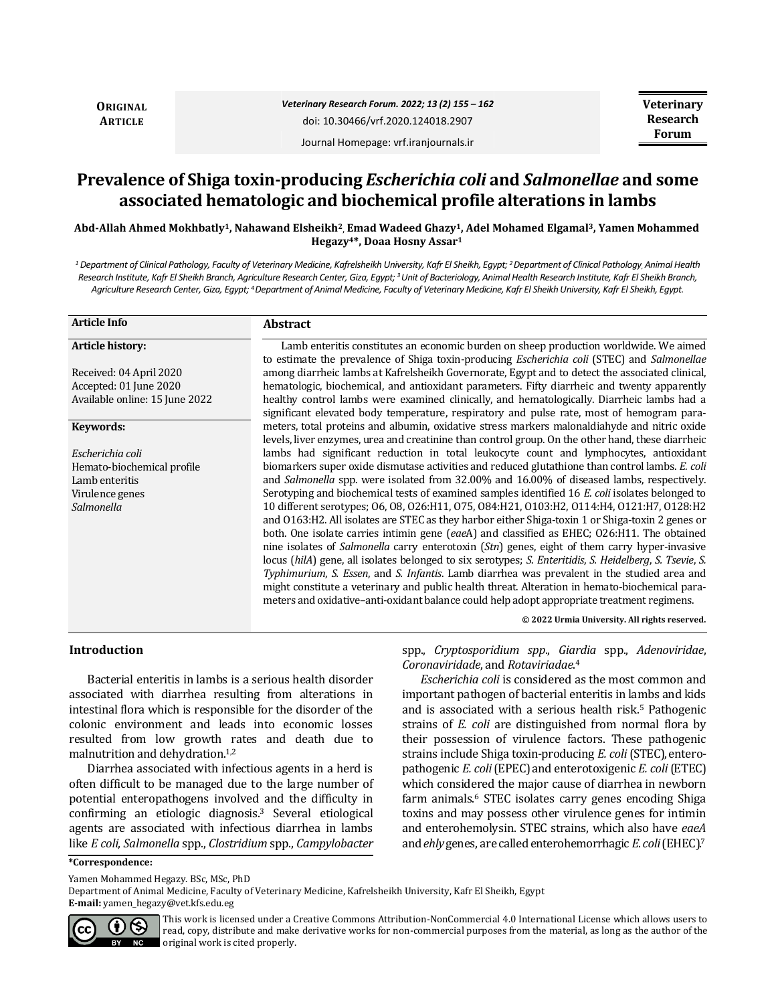**ORIGINAL ARTICLE**

Journal Homepage: vrf.iranjournals.ir

# **Prevalence of Shiga toxin-producing** *Escherichia coli* **and** *Salmonellae* **and some associated hematologic and biochemical profile alterations in lambs**

**Abd-Allah Ahmed Mokhbatly1, Nahawand Elsheikh2, Emad Wadeed Ghazy1, Adel Mohamed Elgamal3, Yamen Mohammed Hegazy4\*, Doaa Hosny Assar<sup>1</sup>**

*<sup>1</sup> Department of Clinical Pathology, Faculty of Veterinary Medicine, Kafrelsheikh University, Kafr El Sheikh, Egypt; <sup>2</sup>Department of Clinical Pathology, Animal Health Research Institute, Kafr El Sheikh Branch, Agriculture Research Center, Giza, Egypt; <sup>3</sup>Unit of Bacteriology, Animal Health Research Institute, Kafr El Sheikh Branch, Agriculture Research Center, Giza, Egypt; <sup>4</sup>Department of Animal Medicine, Faculty of Veterinary Medicine, Kafr El Sheikh University, Kafr El Sheikh, Egypt.*

| <b>Article Info</b>            | <b>Abstract</b>                                                                                                                                                                                                                                                                                                                                                                                                                                                                                                                                                                                                                                                                                              |  |  |  |
|--------------------------------|--------------------------------------------------------------------------------------------------------------------------------------------------------------------------------------------------------------------------------------------------------------------------------------------------------------------------------------------------------------------------------------------------------------------------------------------------------------------------------------------------------------------------------------------------------------------------------------------------------------------------------------------------------------------------------------------------------------|--|--|--|
| Article history:               | Lamb enteritis constitutes an economic burden on sheep production worldwide. We aimed<br>to estimate the prevalence of Shiga toxin-producing <i>Escherichia coli</i> (STEC) and <i>Salmonellae</i>                                                                                                                                                                                                                                                                                                                                                                                                                                                                                                           |  |  |  |
| Received: 04 April 2020        | among diarrheic lambs at Kafrelsheikh Governorate, Egypt and to detect the associated clinical,                                                                                                                                                                                                                                                                                                                                                                                                                                                                                                                                                                                                              |  |  |  |
| Accepted: 01 June 2020         | hematologic, biochemical, and antioxidant parameters. Fifty diarrheic and twenty apparently                                                                                                                                                                                                                                                                                                                                                                                                                                                                                                                                                                                                                  |  |  |  |
| Available online: 15 June 2022 | healthy control lambs were examined clinically, and hematologically. Diarrheic lambs had a<br>significant elevated body temperature, respiratory and pulse rate, most of hemogram para-                                                                                                                                                                                                                                                                                                                                                                                                                                                                                                                      |  |  |  |
| Keywords:                      | meters, total proteins and albumin, oxidative stress markers malonaldiahyde and nitric oxide<br>levels, liver enzymes, urea and creatinine than control group. On the other hand, these diarrheic                                                                                                                                                                                                                                                                                                                                                                                                                                                                                                            |  |  |  |
| Escherichia coli               | lambs had significant reduction in total leukocyte count and lymphocytes, antioxidant                                                                                                                                                                                                                                                                                                                                                                                                                                                                                                                                                                                                                        |  |  |  |
| Hemato-biochemical profile     | biomarkers super oxide dismutase activities and reduced glutathione than control lambs. E. coli                                                                                                                                                                                                                                                                                                                                                                                                                                                                                                                                                                                                              |  |  |  |
| Lamb enteritis                 | and Salmonella spp. were isolated from 32.00% and 16.00% of diseased lambs, respectively.                                                                                                                                                                                                                                                                                                                                                                                                                                                                                                                                                                                                                    |  |  |  |
| Virulence genes                | Serotyping and biochemical tests of examined samples identified 16 E. coli isolates belonged to                                                                                                                                                                                                                                                                                                                                                                                                                                                                                                                                                                                                              |  |  |  |
| Salmonella                     | 10 different serotypes; 06, 08, 026:H11, 075, 084:H21, 0103:H2, 0114:H4, 0121:H7, 0128:H2                                                                                                                                                                                                                                                                                                                                                                                                                                                                                                                                                                                                                    |  |  |  |
|                                | and 0163:H2. All isolates are STEC as they harbor either Shiga-toxin 1 or Shiga-toxin 2 genes or<br>both. One isolate carries intimin gene (eaeA) and classified as EHEC; O26:H11. The obtained<br>nine isolates of Salmonella carry enterotoxin $(Stn)$ genes, eight of them carry hyper-invasive<br>locus (hilA) gene, all isolates belonged to six serotypes; S. Enteritidis, S. Heidelberg, S. Tsevie, S.<br>Typhimurium, S. Essen, and S. Infantis. Lamb diarrhea was prevalent in the studied area and<br>might constitute a veterinary and public health threat. Alteration in hemato-biochemical para-<br>meters and oxidative-anti-oxidant balance could help adopt appropriate treatment regimens. |  |  |  |
|                                | © 2022 Urmia University. All rights reserved.                                                                                                                                                                                                                                                                                                                                                                                                                                                                                                                                                                                                                                                                |  |  |  |

## **Introduction**

Bacterial enteritis in lambs is a serious health disorder associated with diarrhea resulting from alterations in intestinal flora which is responsible for the disorder of the colonic environment and leads into economic losses resulted from low growth rates and death due to malnutrition and dehydration.1,2

Diarrhea associated with infectious agents in a herd is often difficult to be managed due to the large number of potential enteropathogens involved and the difficulty in confirming an etiologic diagnosis.<sup>3</sup> Several etiological agents are associated with infectious diarrhea in lambs like *E coli*, *Salmonella* spp., *Clostridium* spp., *Campylobacter*

spp., *Cryptosporidium spp*., *Giardia* spp., *Adenoviridae*, *Coronaviridade*, and *Rotaviriadae*. 4

*Escherichia coli* is considered as the most common and important pathogen of bacterial enteritis in lambs and kids and is associated with a serious health risk.<sup>5</sup> Pathogenic strains of *E. coli* are distinguished from normal flora by their possession of virulence factors. These pathogenic strains include Shiga toxin-producing *E. coli*(STEC), enteropathogenic *E. coli*(EPEC) and enterotoxigenic *E. coli*(ETEC) which considered the major cause of diarrhea in newborn farm animals.<sup>6</sup> STEC isolates carry genes encoding Shiga toxins and may possess other virulence genes for intimin and enterohemolysin. STEC strains, which also have *eaeA*  and*ehly*genes, arecalledenterohemorrhagic *E*.*coli*(EHEC).<sup>7</sup>

**\*Correspondence:**

Yamen Mohammed Hegazy. BSc, MSc, PhD

Department of Animal Medicine, Faculty of Veterinary Medicine, Kafrelsheikh University, Kafr El Sheikh, Egypt

**E-mail:** yamen\_hegazy@vet.kfs.edu.eg



This work is licensed under a [Creative Commons Attribution-NonCommercial 4.0 International License](http://creativecommons.org/licenses/by-nc/4.0/) which allows users to read, copy, distribute and make derivative works for non-commercial purposes from the material, as long as the author of the original work is cited properly.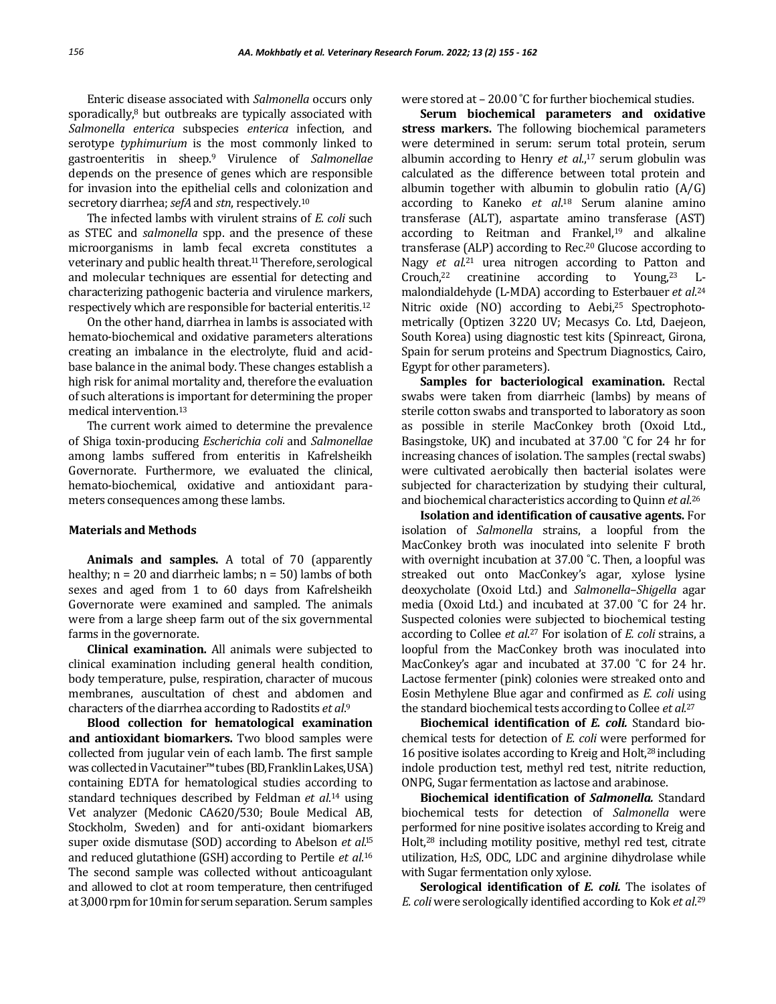Enteric disease associated with *Salmonella* occurs only sporadically,<sup>8</sup> but outbreaks are typically associated with *Salmonella enterica* subspecies *enterica* infection, and serotype *typhimurium* is the most commonly linked to gastroenteritis in sheep.<sup>9</sup> Virulence of *Salmonellae* depends on the presence of genes which are responsible for invasion into the epithelial cells and colonization and secretory diarrhea; *sefA* and *stn*, respectively.<sup>10</sup>

The infected lambs with virulent strains of *E. coli* such as STEC and *salmonella* spp. and the presence of these microorganisms in lamb fecal excreta constitutes a veterinary and public health threat.<sup>11</sup> Therefore, serological and molecular techniques are essential for detecting and characterizing pathogenic bacteria and virulence markers, respectively which are responsible for bacterial enteritis.<sup>12</sup>

On the other hand, diarrhea in lambs is associated with hemato-biochemical and oxidative parameters alterations creating an imbalance in the electrolyte, fluid and acidbase balance in the animal body. These changes establish a high risk for animal mortality and, therefore the evaluation of such alterations is important for determining the proper medical intervention.<sup>13</sup>

The current work aimed to determine the prevalence of Shiga toxin-producing *Escherichia coli* and *Salmonellae* among lambs suffered from enteritis in Kafrelsheikh Governorate. Furthermore, we evaluated the clinical, hemato-biochemical, oxidative and antioxidant parameters consequences among these lambs.

## **Materials and Methods**

**Animals and samples.** A total of 70 (apparently healthy;  $n = 20$  and diarrheic lambs;  $n = 50$ ) lambs of both sexes and aged from 1 to 60 days from Kafrelsheikh Governorate were examined and sampled. The animals were from a large sheep farm out of the six governmental farms in the governorate.

**Clinical examination.** All animals were subjected to clinical examination including general health condition, body temperature, pulse, respiration, character of mucous membranes, auscultation of chest and abdomen and characters of the diarrhea according to Radostits *et al*. 9

**Blood collection for hematological examination and antioxidant biomarkers.** Two blood samples were collected from jugular vein of each lamb. The first sample was collectedinVacutainer™tubes (BD, FranklinLakes, USA) containing EDTA for hematological studies according to standard techniques described by Feldman *et al*. <sup>14</sup> using Vet analyzer (Medonic CA620/530; Boule Medical AB, Stockholm, Sweden) and for anti-oxidant biomarkers super oxide dismutase (SOD) according to Abelson *et al*. 15 and reduced glutathione (GSH) according to Pertile *et al*. 16 The second sample was collected without anticoagulant and allowed to clot at room temperature, then centrifuged at 3,000 rpm for 10 min for serum separation. Serum samples were stored at - 20.00 °C for further biochemical studies.

**Serum biochemical parameters and oxidative stress markers.** The following biochemical parameters were determined in serum: serum total protein, serum albumin according to Henry *et al*., <sup>17</sup> serum globulin was calculated as the difference between total protein and albumin together with albumin to globulin ratio (A/G) according to Kaneko *et al*. <sup>18</sup> Serum alanine amino transferase (ALT), aspartate amino transferase (AST) according to Reitman and Frankel, $19$  and alkaline transferase (ALP) according to Rec.<sup>20</sup> Glucose according to Nagy *et al*. <sup>21</sup> urea nitrogen according to Patton and Crouch,<sup>22</sup> creatinine according to Young,<sup>23</sup> Lmalondialdehyde (L-MDA) according to Esterbauer *et al*. 24 Nitric oxide (NO) according to Aebi,<sup>25</sup> Spectrophotometrically (Optizen 3220 UV; Mecasys Co. Ltd, Daejeon, South Korea) using diagnostic test kits (Spinreact, Girona, Spain for serum proteins and Spectrum Diagnostics, Cairo, Egypt for other parameters).

**Samples for bacteriological examination.** Rectal swabs were taken from diarrheic (lambs) by means of sterile cotton swabs and transported to laboratory as soon as possible in sterile MacConkey broth (Oxoid Ltd., Basingstoke, UK) and incubated at 37.00 ˚C for 24 hr for increasing chances of isolation. The samples (rectal swabs) were cultivated aerobically then bacterial isolates were subjected for characterization by studying their cultural, and biochemical characteristics according to Quinn *et al*. 26

**Isolation and identification of causative agents.** For isolation of *Salmonella* strains, a loopful from the MacConkey broth was inoculated into selenite F broth with overnight incubation at 37.00 °C. Then, a loopful was streaked out onto MacConkey's agar, xylose lysine deoxycholate (Oxoid Ltd.) and *Salmonella*–*Shigella* agar media (Oxoid Ltd.) and incubated at 37.00 ˚C for 24 hr. Suspected colonies were subjected to biochemical testing according to Collee *et al*. <sup>27</sup> For isolation of *E. coli* strains, a loopful from the MacConkey broth was inoculated into MacConkey's agar and incubated at 37.00 ˚C for 24 hr. Lactose fermenter (pink) colonies were streaked onto and Eosin Methylene Blue agar and confirmed as *E. coli* using the standard biochemical tests according to Collee *et al*. 27

**Biochemical identification of** *E. coli.* Standard biochemical tests for detection of *E. coli* were performed for 16 positive isolates according to Kreig and Holt,<sup>28</sup> including indole production test, methyl red test, nitrite reduction, ONPG, Sugar fermentation as lactose and arabinose.

**Biochemical identification of** *Salmonella.* Standard biochemical tests for detection of *Salmonella* were performed for nine positive isolates according to Kreig and Holt,<sup>28</sup> including motility positive, methyl red test, citrate utilization, H2S, ODC, LDC and arginine dihydrolase while with Sugar fermentation only xylose.

**Serological identification of** *E. coli.* The isolates of *E. coli* were serologically identified according to Kok *et al*. 29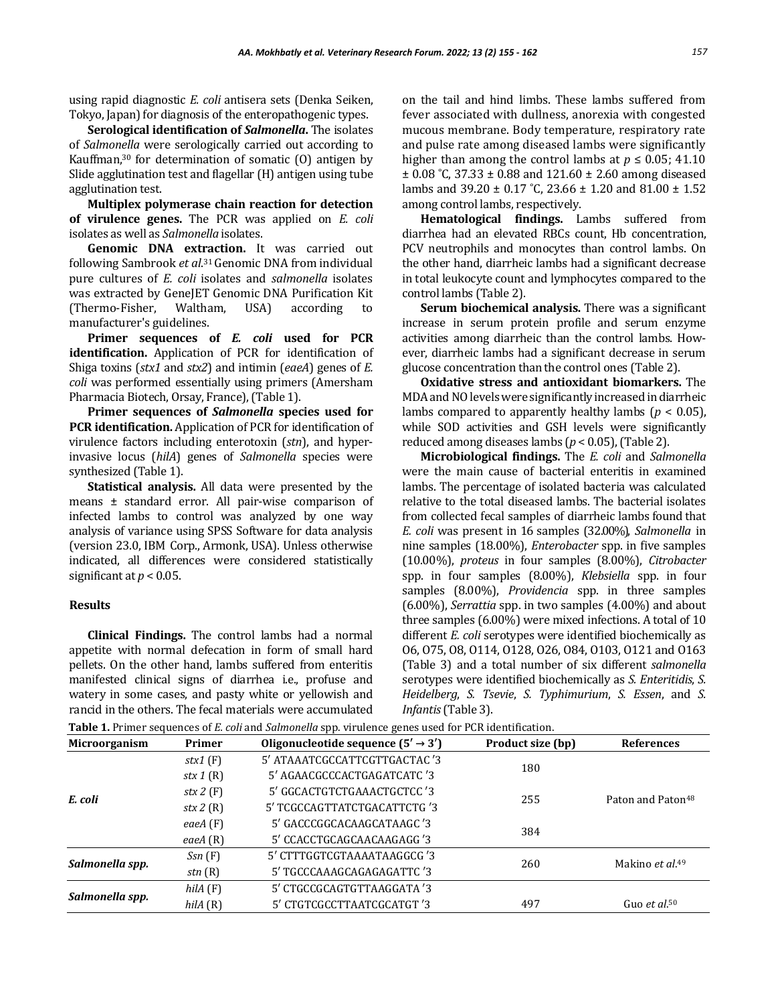using rapid diagnostic *E. coli* antisera sets (Denka Seiken, Tokyo, Japan) for diagnosis of the enteropathogenic types.

**Serological identification of** *Salmonella***.** The isolates of *Salmonella* were serologically carried out according to Kauffman,<sup>30</sup> for determination of somatic (O) antigen by Slide agglutination test and flagellar (H) antigen using tube agglutination test.

**Multiplex polymerase chain reaction for detection of virulence genes.** The PCR was applied on *E. coli*  isolates as well as *Salmonella* isolates.

**Genomic DNA extraction.** It was carried out following Sambrook et al.<sup>31</sup> Genomic DNA from individual pure cultures of *E. coli* isolates and *salmonella* isolates was extracted by GeneJET Genomic DNA Purification Kit (Thermo-Fisher, Waltham, USA) according to manufacturer's guidelines.

**Primer sequences of** *E. coli* **used for PCR identification.** Application of PCR for identification of Shiga toxins (*stx1* and *stx2*) and intimin (*eaeA*) genes of *E. coli* was performed essentially using primers (Amersham Pharmacia Biotech, Orsay, France), (Table 1).

**Primer sequences of** *Salmonella* **species used for PCR identification.** Application of PCR for identification of virulence factors including enterotoxin (*stn*), and hyperinvasive locus (*hilA*) genes of *Salmonella* species were synthesized (Table 1).

**Statistical analysis.** All data were presented by the means ± standard error. All pair-wise comparison of infected lambs to control was analyzed by one way analysis of variance using SPSS Software for data analysis (version 23.0, IBM Corp., Armonk, USA). Unless otherwise indicated, all differences were considered statistically significant at  $p < 0.05$ .

### **Results**

**Clinical Findings.** The control lambs had a normal appetite with normal defecation in form of small hard pellets. On the other hand, lambs suffered from enteritis manifested clinical signs of diarrhea i.e., profuse and watery in some cases, and pasty white or yellowish and rancid in the others. The fecal materials were accumulated on the tail and hind limbs. These lambs suffered from fever associated with dullness, anorexia with congested mucous membrane. Body temperature, respiratory rate and pulse rate among diseased lambs were significantly higher than among the control lambs at  $p \le 0.05$ ; 41.10  $\pm$  0.08 °C, 37.33  $\pm$  0.88 and 121.60  $\pm$  2.60 among diseased lambs and 39.20 ± 0.17 ˚C, 23.66 ± 1.20 and 81.00 ± 1.52 among control lambs, respectively.

**Hematological findings.** Lambs suffered from diarrhea had an elevated RBCs count, Hb concentration, PCV neutrophils and monocytes than control lambs. On the other hand, diarrheic lambs had a significant decrease in total leukocyte count and lymphocytes compared to the control lambs (Table 2).

**Serum biochemical analysis.** There was a significant increase in serum protein profile and serum enzyme activities among diarrheic than the control lambs. However, diarrheic lambs had a significant decrease in serum glucose concentration than the control ones (Table 2).

**Oxidative stress and antioxidant biomarkers.** The MDA and NO levels were significantly increased in diarrheic lambs compared to apparently healthy lambs ( $p < 0.05$ ), while SOD activities and GSH levels were significantly reduced among diseases lambs (*p* < 0.05), (Table 2).

**Microbiological findings.** The *E. coli* and *Salmonella* were the main cause of bacterial enteritis in examined lambs. The percentage of isolated bacteria was calculated relative to the total diseased lambs. The bacterial isolates from collected fecal samples of diarrheic lambs found that *E. coli* was present in 16 samples (32.00%), *Salmonella* in nine samples (18.00%), *Enterobacter* spp. in five samples (10.00%), *proteus* in four samples (8.00%), *Citrobacter* spp. in four samples (8.00%), *Klebsiella* spp. in four samples (8.00%), *Providencia* spp. in three samples (6.00%), *Serrattia* spp. in two samples (4.00%) and about three samples (6.00%) were mixed infections. A total of 10 different *E. coli* serotypes were identified biochemically as O6, O75, O8, O114, O128, O26, O84, O103, O121 and O163 (Table 3) and a total number of six different *salmonella* serotypes were identified biochemically as *S. Enteritidis*, *S. Heidelberg*, *S. Tsevie*, *S. Typhimurium*, *S. Essen*, and *S. Infantis*(Table 3).

**Table 1.** Primer sequences of *E. coli* and *Salmonella* spp. virulence genes used for PCR identification.

| Microorganism   | Primer      | Oligonucleotide sequence $(5' \rightarrow 3')$ | Product size (bp) | <b>References</b>             |  |
|-----------------|-------------|------------------------------------------------|-------------------|-------------------------------|--|
| E. coli         | $stx1$ (F)  | 5' ATAAATCGCCATTCGTTGACTAC '3                  |                   |                               |  |
|                 | stx $1(R)$  | 5' AGAACGCCCACTGAGATCATC '3                    | 180               |                               |  |
|                 | stx $2(F)$  | 5' GGCACTGTCTGAAACTGCTCC '3                    |                   | Paton and Paton <sup>48</sup> |  |
|                 | stx 2 $(R)$ | 5' TCGCCAGTTATCTGACATTCTG '3                   | 255               |                               |  |
|                 | eae $A(F)$  | 5' GACCCGGCACAAGCATAAGC '3                     | 384               |                               |  |
|                 | eae $A(R)$  | 5' CCACCTGCAGCAACAAGAGG '3                     |                   |                               |  |
| Salmonella spp. | Ssn(F)      | 5' CTTTGGTCGTAAAATAAGGCG '3                    | 260               | Makino et al. <sup>49</sup>   |  |
|                 | stn(R)      | 5' TGCCCAAAGCAGAGAGATTC '3                     |                   |                               |  |
| Salmonella spp. | hilA(F)     | 5' CTGCCGCAGTGTTAAGGATA '3                     |                   |                               |  |
|                 | hilA(R)     | 5' CTGTCGCCTTAATCGCATGT '3                     | 497               | Guo et $a150$                 |  |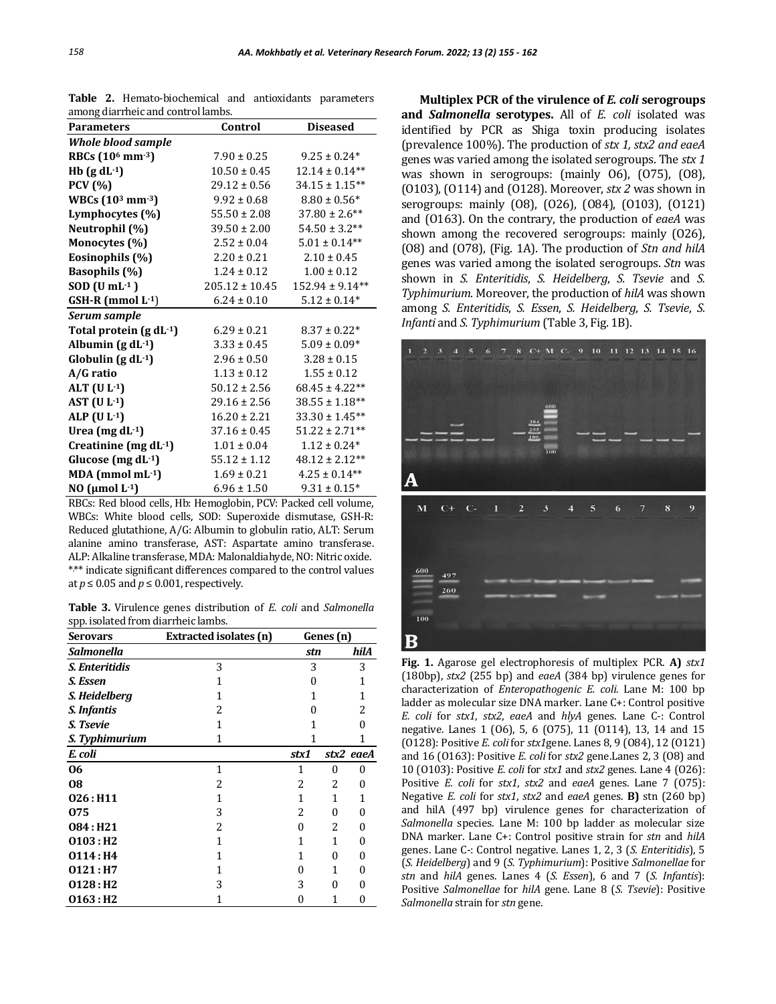| <b>Parameters</b>                        | Control            | <b>Diseased</b>     |  |
|------------------------------------------|--------------------|---------------------|--|
| <b>Whole blood sample</b>                |                    |                     |  |
| RBCs (10 <sup>6</sup> mm <sup>-3</sup> ) | $7.90 \pm 0.25$    | $9.25 \pm 0.24*$    |  |
| Hb $(g dL^{-1})$                         | $10.50 \pm 0.45$   | $12.14 \pm 0.14**$  |  |
| <b>PCV</b> (%)                           | $29.12 \pm 0.56$   | $34.15 \pm 1.15**$  |  |
| WBCs $(10^3 \text{ mm}^{-3})$            | $9.92 \pm 0.68$    | $8.80 \pm 0.56*$    |  |
| Lymphocytes (%)                          | $55.50 \pm 2.08$   | $37.80 \pm 2.6$ **  |  |
| Neutrophil (%)                           | $39.50 \pm 2.00$   | $54.50 \pm 3.2**$   |  |
| Monocytes (%)                            | $2.52 \pm 0.04$    | $5.01 \pm 0.14**$   |  |
| Eosinophils (%)                          | $2.20 \pm 0.21$    | $2.10 \pm 0.45$     |  |
| <b>Basophils</b> (%)                     | $1.24 \pm 0.12$    | $1.00 \pm 0.12$     |  |
| $SOD$ (U mL $-1$ )                       | $205.12 \pm 10.45$ | $152.94 \pm 9.14**$ |  |
| GSH-R (mmol L-1)                         | $6.24 \pm 0.10$    | $5.12 \pm 0.14*$    |  |
| Serum sample                             |                    |                     |  |
| Total protein $(g dL^{-1})$              | $6.29 \pm 0.21$    | $8.37 \pm 0.22*$    |  |
| Albumin $(g dL^{-1})$                    | $3.33 \pm 0.45$    | $5.09 \pm 0.09*$    |  |
| Globulin $(g dL-1)$                      | $2.96 \pm 0.50$    | $3.28 \pm 0.15$     |  |
| A/G ratio                                | $1.13 \pm 0.12$    | $1.55 \pm 0.12$     |  |
| ALT $(U L-1)$                            | $50.12 \pm 2.56$   | $68.45 \pm 4.22**$  |  |
| AST $(U L-1)$                            | $29.16 \pm 2.56$   | $38.55 \pm 1.18**$  |  |
| ALP $(U L-1)$                            | $16.20 \pm 2.21$   | $33.30 \pm 1.45**$  |  |
| Urea (mg $dL^{-1}$ )                     | $37.16 \pm 0.45$   | $51.22 \pm 2.71**$  |  |
| Creatinine (mg dL-1)                     | $1.01 \pm 0.04$    | $1.12 \pm 0.24*$    |  |
| Glucose (mg dL-1)                        | $55.12 \pm 1.12$   | $48.12 \pm 2.12**$  |  |
| $MDA$ (mmol mL $-1$ )                    | $1.69 \pm 0.21$    | $4.25 \pm 0.14**$   |  |
| NO ( $\mu$ mol L·1)                      | $6.96 \pm 1.50$    | $9.31 \pm 0.15*$    |  |

**Table 2.** Hemato-biochemical and antioxidants parameters among diarrheic and control lambs.

RBCs: Red blood cells, Hb: Hemoglobin, PCV: Packed cell volume, WBCs: White blood cells, SOD: Superoxide dismutase, GSH-R: Reduced glutathione, A/G: Albumin to globulin ratio, ALT: Serum alanine amino transferase, AST: Aspartate amino transferase. ALP: Alkaline transferase, MDA: Malonaldiahyde, NO: Nitric oxide. \* ,\*\* indicate significant differences compared to the control values at  $p \le 0.05$  and  $p \le 0.001$ , respectively.

**Table 3.** Virulence genes distribution of *E. coli* and *Salmonella* spp. isolated from diarrheic lambs.

| Serovars               | Extracted isolates (n) | Genes (n) |          |           |
|------------------------|------------------------|-----------|----------|-----------|
| Salmonella             |                        | stn       |          | hilA      |
| S. Enteritidis         | 3                      | 3         |          | 3         |
| S. Essen               | 1                      | 0         |          | 1         |
| S. Heidelberg          | 1                      | 1         |          | 1         |
| S. Infantis            | 2                      | O         |          | 2         |
| S. Tsevie              | 1                      | 1         |          | O         |
| S. Typhimurium         | 1                      | 1         |          | 1         |
| E. coli                |                        | stx1      |          | stx2 eaeA |
| 06                     | 1                      | 1         | 0        | 0         |
| 08                     | 2                      | 2         | 2        | 0         |
| 026:H11                | 1                      | 1         | 1        | 1         |
| 075                    | 3                      | 2         | 0        | 0         |
| 084:H21                | 2                      | 0         | 2        | 0         |
| 0103:H2                | 1                      | 1         | 1        | 0         |
| 0114: H4               | 1                      | 1         | 0        | 0         |
| 0121:H7                | 1                      | 0         | 1        | 0         |
| $0128:$ H <sub>2</sub> | 3                      | 3         | $\theta$ | 0         |
| $0163:$ H <sub>2</sub> | 1                      | 0         | 1        | 0         |

**Multiplex PCR of the virulence of** *E. coli* **serogroups and** *Salmonella* **serotypes.** All of *E. coli* isolated was identified by PCR as Shiga toxin producing isolates (prevalence 100%). The production of *stx 1, stx2 and eaeA* genes was varied among the isolated serogroups. The *stx 1*  was shown in serogroups: (mainly O6), (O75), (O8), (O103), (O114) and (O128). Moreover, *stx 2* was shown in serogroups: mainly (O8), (O26), (O84), (O103), (O121) and (O163). On the contrary, the production of *eaeA* was shown among the recovered serogroups: mainly (O26), (O8) and (O78), (Fig. 1A). The production of *Stn and hilA* genes was varied among the isolated serogroups. *Stn* was shown in *S. Enteritidis*, *S. Heidelberg*, *S. Tsevie* and *S. Typhimurium*. Moreover, the production of *hilA* was shown among *S. Enteritidis*, *S. Essen*, *S. Heidelberg*, *S. Tsevie*, *S. Infanti* and *S. Typhimurium* (Table 3, Fig. 1B).



**Fig. 1.** Agarose gel electrophoresis of multiplex PCR. **A)** *stx1* (180bp), *stx2* (255 bp) and *eaeA* (384 bp) virulence genes for characterization of *Enteropathogenic E. coli.* Lane M: 100 bp ladder as molecular size DNA marker. Lane C+: Control positive *E. coli* for *stx1*, *stx2*, *eaeA* and *hlyA* genes. Lane C-: Control negative. Lanes 1 (O6), 5, 6 (O75), 11 (O114), 13, 14 and 15 (O128): Positive *E. coli* for *stx1*gene. Lanes 8, 9 (O84), 12 (O121) and 16 (O163): Positive *E. coli* for *stx2* gene.Lanes 2, 3 (O8) and 10 (O103): Positive *E. coli* for *stx1* and *stx2* genes. Lane 4 (O26): Positive *E. coli* for *stx1*, *stx2* and *eaeA* genes. Lane 7 (O75): Negative *E. coli* for *stx1*, *stx2* and *eaeA* genes. **B)** stn (260 bp) and hilA (497 bp) virulence genes for characterization of *Salmonella* species. Lane M: 100 bp ladder as molecular size DNA marker. Lane C+: Control positive strain for *stn* and *hilA* genes. Lane C-: Control negative. Lanes 1, 2, 3 (*S. Enteritidis*), 5 (*S. Heidelberg*) and 9 (*S. Typhimurium*): Positive *Salmonellae* for *stn* and *hilA* genes. Lanes 4 (*S. Essen*), 6 and 7 (*S. Infantis*): Positive *Salmonellae* for *hilA* gene. Lane 8 (*S. Tsevie*): Positive *Salmonella* strain for *stn* gene.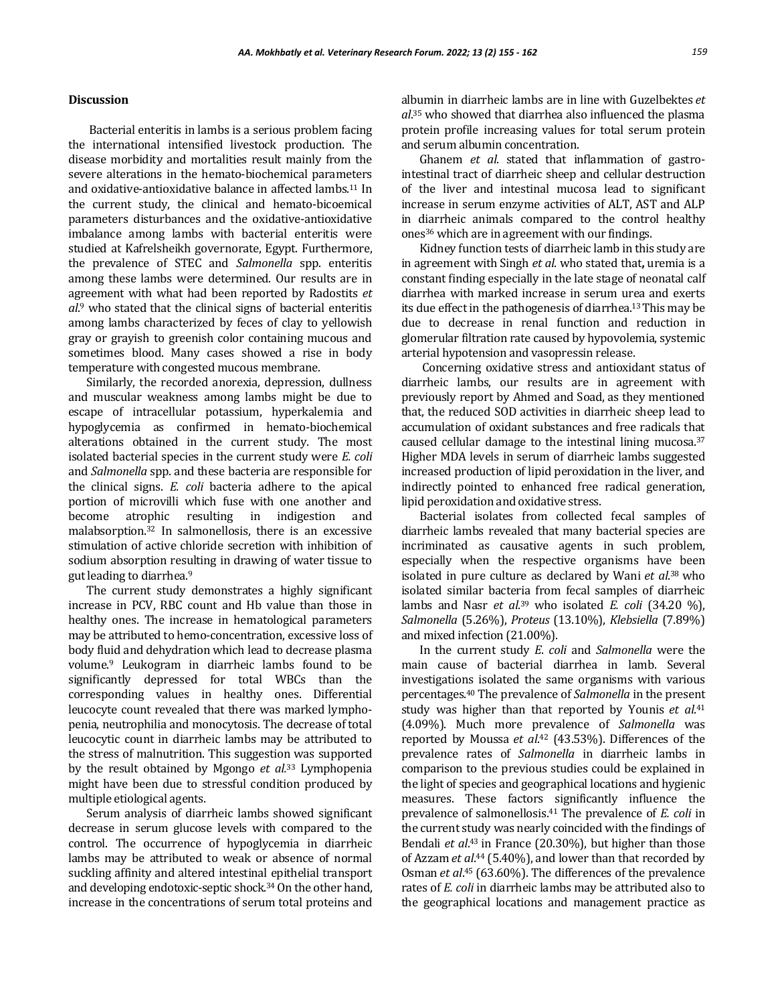#### **Discussion**

Bacterial enteritis in lambs is a serious problem facing the international intensified livestock production. The disease morbidity and mortalities result mainly from the severe alterations in the hemato-biochemical parameters and oxidative-antioxidative balance in affected lambs.<sup>11</sup> In the current study, the clinical and hemato-bicoemical parameters disturbances and the oxidative-antioxidative imbalance among lambs with bacterial enteritis were studied at Kafrelsheikh governorate, Egypt. Furthermore, the prevalence of STEC and *Salmonella* spp. enteritis among these lambs were determined. Our results are in agreement with what had been reported by Radostits *et al*. <sup>9</sup> who stated that the clinical signs of bacterial enteritis among lambs characterized by feces of clay to yellowish gray or grayish to greenish color containing mucous and sometimes blood. Many cases showed a rise in body temperature with congested mucous membrane.

Similarly, the recorded anorexia, depression, dullness and muscular weakness among lambs might be due to escape of intracellular potassium, hyperkalemia and hypoglycemia as confirmed in hemato-biochemical alterations obtained in the current study. The most isolated bacterial species in the current study were *E. coli* and *Salmonella* spp. and these bacteria are responsible for the clinical signs. *E. coli* bacteria adhere to the apical portion of microvilli which fuse with one another and become atrophic resulting in indigestion and malabsorption.<sup>32</sup> In salmonellosis, there is an excessive stimulation of active chloride secretion with inhibition of sodium absorption resulting in drawing of water tissue to gut leading to diarrhea.<sup>9</sup>

The current study demonstrates a highly significant increase in PCV, RBC count and Hb value than those in healthy ones. The increase in hematological parameters may be attributed to hemo-concentration, excessive loss of body fluid and dehydration which lead to decrease plasma volume.<sup>9</sup> Leukogram in diarrheic lambs found to be significantly depressed for total WBCs than the corresponding values in healthy ones. Differential leucocyte count revealed that there was marked lymphopenia, neutrophilia and monocytosis. The decrease of total leucocytic count in diarrheic lambs may be attributed to the stress of malnutrition. This suggestion was supported by the result obtained by Mgongo *et al.*<sup>33</sup> Lymphopenia might have been due to stressful condition produced by multiple etiological agents.

Serum analysis of diarrheic lambs showed significant decrease in serum glucose levels with compared to the control. The occurrence of hypoglycemia in diarrheic lambs may be attributed to weak or absence of normal suckling affinity and altered intestinal epithelial transport and developing endotoxic-septic shock. <sup>34</sup> On the other hand, increase in the concentrations of serum total proteins and

albumin in diarrheic lambs are in line with Guzelbektes *et al*. <sup>35</sup> who showed that diarrhea also influenced the plasma protein profile increasing values for total serum protein and serum albumin concentration.

Ghanem *et al*. stated that inflammation of gastrointestinal tract of diarrheic sheep and cellular destruction of the liver and intestinal mucosa lead to significant increase in serum enzyme activities of ALT, AST and ALP in diarrheic animals compared to the control healthy ones<sup>36</sup> which are in agreement with our findings.

Kidney function tests of diarrheic lamb in this study are in agreement with Singh *et al*. who stated that**,** uremia is a constant finding especially in the late stage of neonatal calf diarrhea with marked increase in serum urea and exerts its due effect in the pathogenesis of diarrhea.13This may be due to decrease in renal function and reduction in glomerular filtration rate caused by hypovolemia, systemic arterial hypotension and vasopressin release.

Concerning oxidative stress and antioxidant status of diarrheic lambs, our results are in agreement with previously report by Ahmed and Soad, as they mentioned that, the reduced SOD activities in diarrheic sheep lead to accumulation of oxidant substances and free radicals that caused cellular damage to the intestinal lining mucosa.<sup>37</sup> Higher MDA levels in serum of diarrheic lambs suggested increased production of lipid peroxidation in the liver, and indirectly pointed to enhanced free radical generation, lipid peroxidation and oxidative stress.

Bacterial isolates from collected fecal samples of diarrheic lambs revealed that many bacterial species are incriminated as causative agents in such problem, especially when the respective organisms have been isolated in pure culture as declared by Wani et al.<sup>38</sup> who isolated similar bacteria from fecal samples of diarrheic lambs and Nasr *et al*. <sup>39</sup> who isolated *E. coli* (34.20 %), *Salmonella* (5.26%), *Proteus* (13.10%), *Klebsiella* (7.89%) and mixed infection (21.00%).

In the current study *E*. *coli* and *Salmonella* were the main cause of bacterial diarrhea in lamb. Several investigations isolated the same organisms with various percentages.<sup>40</sup> The prevalence of *Salmonella* in the present study was higher than that reported by Younis *et al*. 41 (4.09%). Much more prevalence of *Salmonella* was reported by Moussa *et al*. <sup>42</sup> (43.53%). Differences of the prevalence rates of *Salmonella* in diarrheic lambs in comparison to the previous studies could be explained in the light of species and geographical locations and hygienic measures. These factors significantly influence the prevalence of salmonellosis.<sup>41</sup> The prevalence of *E. coli* in the current study was nearly coincided with the findings of Bendali *et al.*<sup>43</sup> in France (20.30%), but higher than those of Azzam *et al*. <sup>44</sup> (5.40%), and lower than that recorded by Osman *et al*. <sup>45</sup> (63.60%). The differences of the prevalence rates of *E. coli* in diarrheic lambs may be attributed also to the geographical locations and management practice as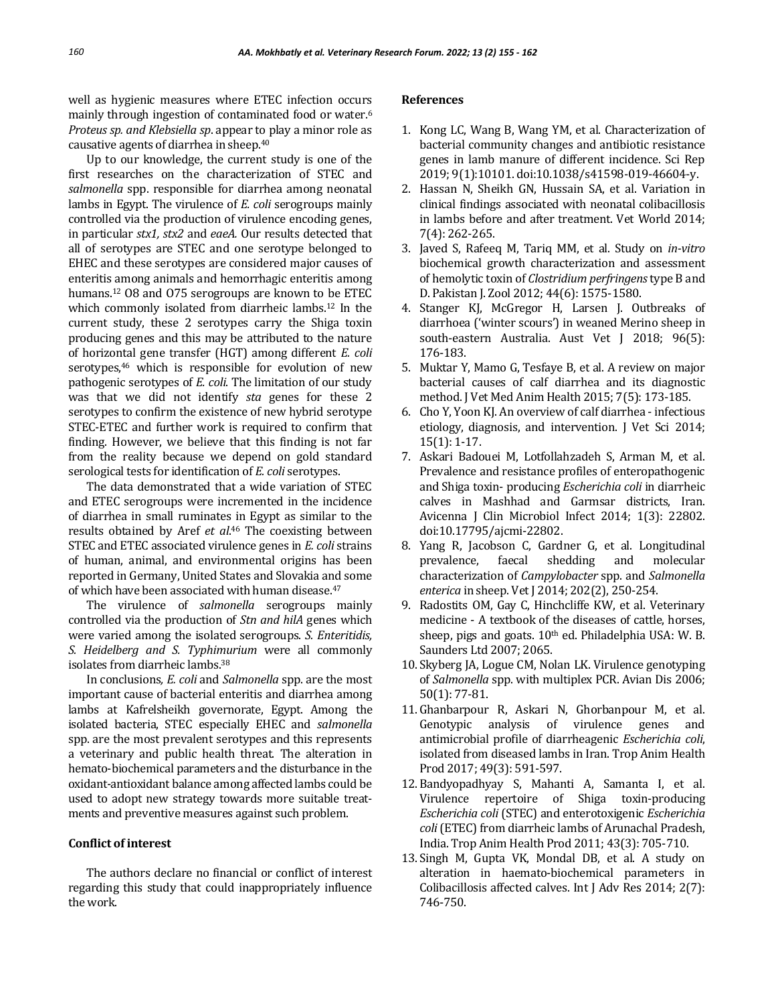well as hygienic measures where ETEC infection occurs mainly through ingestion of contaminated food or water.<sup>6</sup> *Proteus sp. and Klebsiella sp*. appear to play a minor role as causative agents of diarrhea in sheep.<sup>40</sup>

Up to our knowledge, the current study is one of the first researches on the characterization of STEC and *salmonella* spp. responsible for diarrhea among neonatal lambs in Egypt. The virulence of *E. coli* serogroups mainly controlled via the production of virulence encoding genes, in particular *stx1, stx2* and *eaeA.* Our results detected that all of serotypes are STEC and one serotype belonged to EHEC and these serotypes are considered major causes of enteritis among animals and hemorrhagic enteritis among humans.<sup>12</sup> O8 and O75 serogroups are known to be ETEC which commonly isolated from diarrheic lambs.<sup>12</sup> In the current study, these 2 serotypes carry the Shiga toxin producing genes and this may be attributed to the nature of horizontal gene transfer (HGT) among different *E. coli* serotypes,<sup>46</sup> which is responsible for evolution of new pathogenic serotypes of *E. coli*. The limitation of our study was that we did not identify *sta* genes for these 2 serotypes to confirm the existence of new hybrid serotype STEC-ETEC and further work is required to confirm that finding. However, we believe that this finding is not far from the reality because we depend on gold standard serological tests for identification of *E. coli* serotypes.

The data demonstrated that a wide variation of STEC and ETEC serogroups were incremented in the incidence of diarrhea in small ruminates in Egypt as similar to the results obtained by Aref *et al*. <sup>46</sup> The coexisting between STEC and ETEC associated virulence genes in *E. coli* strains of human, animal, and environmental origins has been reported in Germany, United States and Slovakia and some of which have been associated with human disease.<sup>47</sup>

The virulence of *salmonella* serogroups mainly controlled via the production of *Stn and hilA* genes which were varied among the isolated serogroups. *S. Enteritidis, S. Heidelberg and S. Typhimurium* were all commonly isolates from diarrheic lambs.<sup>38</sup>

In conclusions*, E. coli* and *Salmonella* spp. are the most important cause of bacterial enteritis and diarrhea among lambs at Kafrelsheikh governorate, Egypt. Among the isolated bacteria, STEC especially EHEC and *salmonella* spp. are the most prevalent serotypes and this represents a veterinary and public health threat. The alteration in hemato-biochemical parameters and the disturbance in the oxidant-antioxidant balance among affected lambs could be used to adopt new strategy towards more suitable treatments and preventive measures against such problem.

### **Conflict of interest**

The authors declare no financial or conflict of interest regarding this study that could inappropriately influence the work.

#### **References**

- 1. Kong LC, Wang B, Wang YM, et al. Characterization of bacterial community changes and antibiotic resistance genes in lamb manure of different incidence. Sci Rep 2019; 9(1):10101. doi:10.1038/s41598-019-46604-y.
- 2. Hassan N, Sheikh GN, Hussain SA, et al. Variation in clinical findings associated with neonatal colibacillosis in lambs before and after treatment. Vet World 2014; 7(4): 262-265.
- 3. Javed S, Rafeeq M, Tariq MM, et al. Study on *in-vitro* biochemical growth characterization and assessment of hemolytic toxin of *Clostridium perfringens* type B and D. Pakistan J. Zool 2012; 44(6): 1575-1580.
- 4. Stanger KJ, McGregor H, Larsen J. Outbreaks of diarrhoea ('winter scours') in weaned Merino sheep in south-eastern Australia. Aust Vet J 2018; 96(5): 176-183.
- 5. Muktar Y, Mamo G, Tesfaye B, et al. A review on major bacterial causes of calf diarrhea and its diagnostic method. J Vet Med Anim Health 2015; 7(5): 173-185.
- 6. Cho Y, Yoon KJ. An overview of calf diarrhea infectious etiology, diagnosis, and intervention. J Vet Sci 2014; 15(1): 1-17.
- 7. Askari Badouei M, Lotfollahzadeh S, Arman M, et al. Prevalence and resistance profiles of enteropathogenic and Shiga toxin- producing *Escherichia coli* in diarrheic calves in Mashhad and Garmsar districts, Iran. Avicenna J Clin Microbiol Infect 2014; 1(3): 22802. doi:10.17795/ajcmi-22802.
- 8. Yang R, Jacobson C, Gardner G, et al. Longitudinal prevalence, faecal shedding and molecular characterization of *Campylobacter* spp. and *Salmonella enterica* in sheep. Vet J 2014; 202(2), 250-254.
- 9. Radostits OM, Gay C, Hinchcliffe KW, et al. Veterinary medicine - A textbook of the diseases of cattle, horses, sheep, pigs and goats.  $10<sup>th</sup>$  ed. Philadelphia USA: W. B. Saunders Ltd 2007; 2065.
- 10. Skyberg JA, Logue CM, Nolan LK. Virulence genotyping of *Salmonella* spp. with multiplex PCR. Avian Dis 2006; 50(1): 77-81.
- 11. Ghanbarpour R, Askari N, Ghorbanpour M, et al. Genotypic analysis of virulence genes and antimicrobial profile of diarrheagenic *Escherichia coli*, isolated from diseased lambs in Iran. Trop Anim Health Prod 2017; 49(3): 591-597.
- 12. Bandyopadhyay S, Mahanti A, Samanta I, et al. Virulence repertoire of Shiga toxin-producing *Escherichia coli* (STEC) and enterotoxigenic *Escherichia coli*(ETEC) from diarrheic lambs of Arunachal Pradesh, India. Trop Anim Health Prod 2011; 43(3): 705-710.
- 13. Singh M, Gupta VK, Mondal DB, et al. A study on alteration in haemato-biochemical parameters in Colibacillosis affected calves. Int J Adv Res 2014; 2(7): 746-750.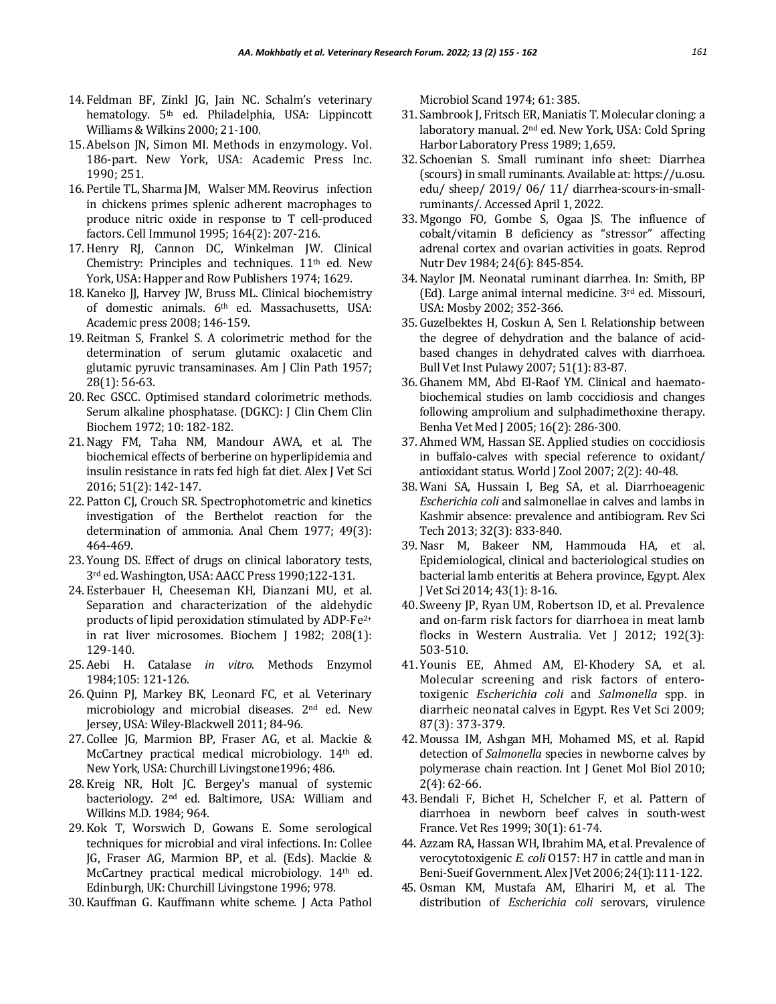- 14. Feldman BF, Zinkl JG, Jain NC. Schalm's veterinary hematology. 5<sup>th</sup> ed. Philadelphia, USA: Lippincott Williams & Wilkins 2000; 21-100.
- 15.Abelson JN, Simon MI. Methods in enzymology. Vol. 186-part. New York, USA: Academic Press Inc. 1990; 251.
- 16. Pertile TL, Sharma JM, Walser MM. Reovirus infection in chickens primes splenic adherent macrophages to produce nitric oxide in response to T cell-produced factors. Cell Immunol 1995; 164(2): 207-216.
- 17.Henry RJ, Cannon DC, Winkelman JW. Clinical Chemistry: Principles and techniques.  $11<sup>th</sup>$  ed. New York, USA: Happer and Row Publishers 1974; 1629.
- 18. Kaneko JJ, Harvey JW, Bruss ML. Clinical biochemistry of domestic animals. 6<sup>th</sup> ed. Massachusetts, USA: Academic press 2008; 146-159.
- 19. Reitman S, Frankel S. A colorimetric method for the determination of serum glutamic oxalacetic and glutamic pyruvic transaminases. Am J Clin Path 1957; 28(1): 56-63.
- 20. Rec GSCC. Optimised standard colorimetric methods. Serum alkaline phosphatase. (DGKC): J Clin Chem Clin Biochem 1972; 10: 182-182.
- 21.Nagy FM, Taha NM, Mandour AWA, et al. The biochemical effects of berberine on hyperlipidemia and insulin resistance in rats fed high fat diet. Alex J Vet Sci 2016; 51(2): 142-147.
- 22. Patton CJ, Crouch SR. Spectrophotometric and kinetics investigation of the Berthelot reaction for the determination of ammonia. Anal Chem 1977; 49(3): 464-469.
- 23. Young DS. Effect of drugs on clinical laboratory tests, 3rd ed. Washington, USA: AACC Press 1990;122-131.
- 24. Esterbauer H, Cheeseman KH, Dianzani MU, et al. Separation and characterization of the aldehydic products of lipid peroxidation stimulated by ADP-Fe2+ in rat liver microsomes. Biochem J 1982; 208(1): 129-140.
- 25. Aebi H. Catalase *in vitro*. Methods Enzymol 1984;105: 121-126.
- 26. Quinn PJ, Markey BK, Leonard FC, et al. Veterinary microbiology and microbial diseases. 2nd ed. New Jersey, USA: Wiley-Blackwell 2011; 84-96.
- 27. Collee JG, Marmion BP, Fraser AG, et al. Mackie & McCartney practical medical microbiology. 14<sup>th</sup> ed. New York, USA: Churchill Livingstone1996; 486.
- 28. Kreig NR, Holt JC. Bergey's manual of systemic bacteriology. 2nd ed. Baltimore, USA: William and Wilkins M.D. 1984; 964.
- 29. Kok T, Worswich D, Gowans E. Some serological techniques for microbial and viral infections. In: Collee JG, Fraser AG, Marmion BP, et al. (Eds). Mackie & McCartney practical medical microbiology. 14<sup>th</sup> ed. Edinburgh, UK: Churchill Livingstone 1996; 978.
- 30. Kauffman G. Kauffmann white scheme. J Acta Pathol

Microbiol Scand 1974; 61: 385.

- 31. Sambrook J, Fritsch ER, Maniatis T. Molecular cloning: a laboratory manual. 2nd ed. New York, USA: Cold Spring Harbor Laboratory Press 1989; 1,659.
- 32. Schoenian S. Small ruminant info sheet: Diarrhea (scours) in small ruminants. Available at: https://u.osu. edu/ sheep/ 2019/ 06/ 11/ diarrhea-scours-in-smallruminants/. Accessed April 1, 2022.
- 33. Mgongo FO, Gombe S, Ogaa JS. The influence of cobalt/vitamin B deficiency as "stressor" affecting adrenal cortex and ovarian activities in goats. Reprod Nutr Dev 1984; 24(6): 845-854.
- 34.Naylor JM. Neonatal ruminant diarrhea. In: Smith, BP (Ed). Large animal internal medicine. 3rd ed. Missouri, USA: Mosby 2002; 352-366.
- 35. Guzelbektes H, Coskun A, Sen I. Relationship between the degree of dehydration and the balance of acidbased changes in dehydrated calves with diarrhoea. Bull Vet Inst Pulawy 2007; 51(1): 83-87.
- 36. Ghanem MM, Abd El-Raof YM. Clinical and haematobiochemical studies on lamb coccidiosis and changes following amprolium and sulphadimethoxine therapy. Benha Vet Med J 2005; 16(2): 286-300.
- 37. Ahmed WM, Hassan SE. Applied studies on coccidiosis in buffalo-calves with special reference to oxidant/ antioxidant status. World J Zool 2007; 2(2): 40-48.
- 38. Wani SA, Hussain I, Beg SA, et al. Diarrhoeagenic *Escherichia coli* and salmonellae in calves and lambs in Kashmir absence: prevalence and antibiogram. Rev Sci Tech 2013; 32(3): 833-840.
- 39.Nasr M, Bakeer NM, Hammouda HA, et al. Epidemiological, clinical and bacteriological studies on bacterial lamb enteritis at Behera province, Egypt. Alex J Vet Sci 2014; 43(1): 8-16.
- 40. Sweeny JP, Ryan UM, Robertson ID, et al. Prevalence and on-farm risk factors for diarrhoea in meat lamb flocks in Western Australia. Vet J 2012; 192(3): 503-510.
- 41.Younis EE, Ahmed AM, El-Khodery SA, et al. Molecular screening and risk factors of enterotoxigenic *Escherichia coli* and *Salmonella* spp. in diarrheic neonatal calves in Egypt. Res Vet Sci 2009; 87(3): 373-379.
- 42. Moussa IM, Ashgan MH, Mohamed MS, et al. Rapid detection of *Salmonella* species in newborne calves by polymerase chain reaction. Int J Genet Mol Biol 2010; 2(4): 62-66.
- 43. Bendali F, Bichet H, Schelcher F, et al. Pattern of diarrhoea in newborn beef calves in south-west France. Vet Res 1999; 30(1): 61-74.
- 44. Azzam RA, Hassan WH, Ibrahim MA, et al. Prevalence of verocytotoxigenic *E. coli* O157: H7 in cattle and man in Beni-Sueif Government. Alex J Vet2006; 24(1): 111-122.
- 45. Osman KM, Mustafa AM, Elhariri M, et al. The distribution of *Escherichia coli* serovars, virulence